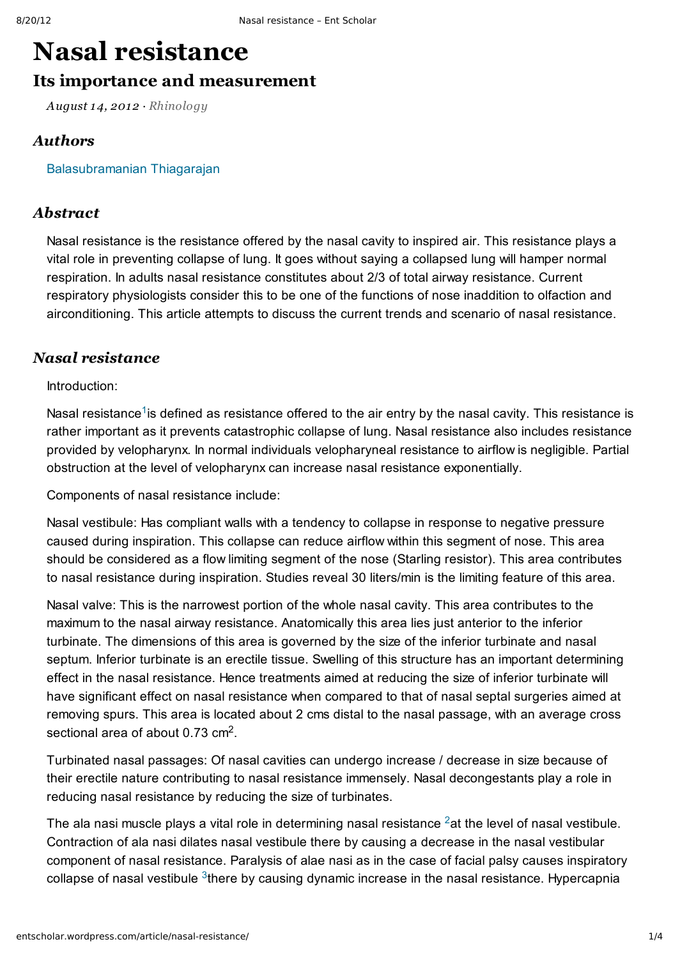# **Nasal [resistance](http://entscholar.wordpress.com/article/nasal-resistance/)**

## **Its importance and measurement**

*August 14, 2012 · [Rhinology](http://entscholar.wordpress.com/article_category/rhinology/)*

### *Authors*

[Balasubramanian](http://entscholar.wordpress.com/author/drtbalu/) Thiagarajan

#### *Abstract*

Nasal resistance is the resistance offered by the nasal cavity to inspired air. This resistance plays a vital role in preventing collapse of lung. It goes without saying a collapsed lung will hamper normal respiration. In adults nasal resistance constitutes about 2/3 of total airway resistance. Current respiratory physiologists consider this to be one of the functions of nose inaddition to olfaction and airconditioning. This article attempts to discuss the current trends and scenario of nasal resistance.

### *Nasal resistance*

Introduction:

Nasal resistance<sup>[1](http://entscholar.wordpress.com/article/nasal-resistance/#ref1)</sup> is defined as resistance offered to the air entry by the nasal cavity. This resistance is rather important as it prevents catastrophic collapse of lung. Nasal resistance also includes resistance provided by velopharynx. In normal individuals velopharyneal resistance to airflow is negligible. Partial obstruction at the level of velopharynx can increase nasal resistance exponentially.

Components of nasal resistance include:

Nasal vestibule: Has compliant walls with a tendency to collapse in response to negative pressure caused during inspiration. This collapse can reduce airflow within this segment of nose. This area should be considered as a flow limiting segment of the nose (Starling resistor). This area contributes to nasal resistance during inspiration. Studies reveal 30 liters/min is the limiting feature of this area.

Nasal valve: This is the narrowest portion of the whole nasal cavity. This area contributes to the maximum to the nasal airway resistance. Anatomically this area lies just anterior to the inferior turbinate. The dimensions of this area is governed by the size of the inferior turbinate and nasal septum. Inferior turbinate is an erectile tissue. Swelling of this structure has an important determining effect in the nasal resistance. Hence treatments aimed at reducing the size of inferior turbinate will have significant effect on nasal resistance when compared to that of nasal septal surgeries aimed at removing spurs. This area is located about 2 cms distal to the nasal passage, with an average cross sectional area of about  $0.73$  cm<sup>2</sup>.

Turbinated nasal passages: Of nasal cavities can undergo increase / decrease in size because of their erectile nature contributing to nasal resistance immensely. Nasal decongestants play a role in reducing nasal resistance by reducing the size of turbinates.

The ala nasi muscle plays a vital role in determining nasal resistance  $2$ at the level of nasal vestibule. Contraction of ala nasi dilates nasal vestibule there by causing a decrease in the nasal vestibular component of nasal resistance. Paralysis of alae nasi as in the case of facial palsy causes inspiratory collapse of nasal vestibule  $3$ there by causing dynamic increase in the nasal resistance. Hypercapnia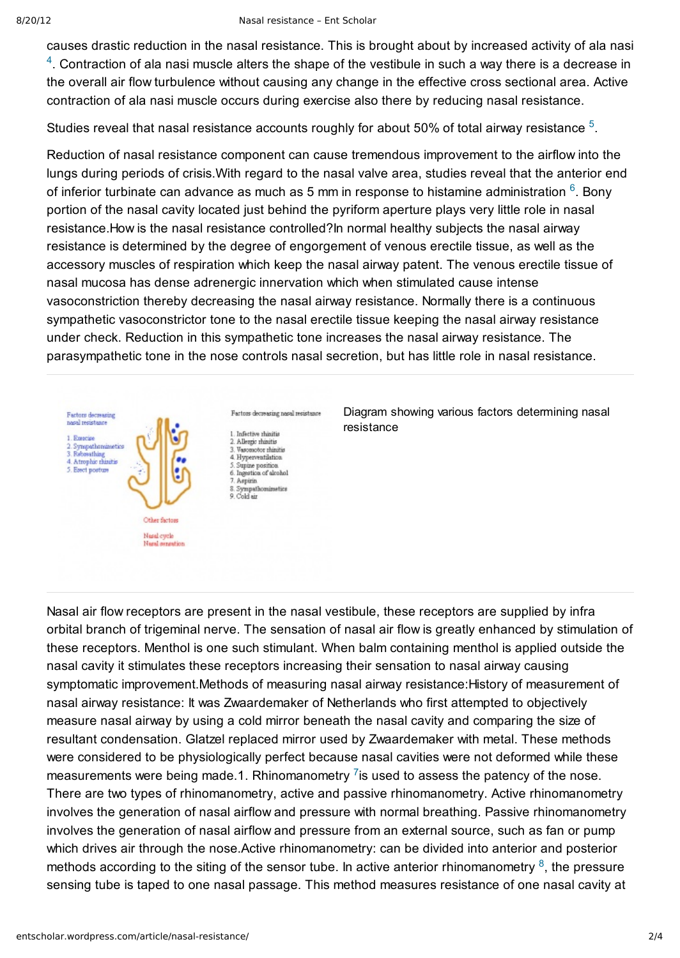causes drastic reduction in the nasal resistance. This is brought about by increased activity of ala nasi

 $4$ . Contraction of ala nasi muscle alters the shape of the vestibule in such a way there is a decrease in the overall air flow turbulence without causing any change in the effective cross sectional area. Active contraction of ala nasi muscle occurs during exercise also there by reducing nasal resistance.

Studies reveal that nasal resistance accounts roughly for about [5](http://entscholar.wordpress.com/article/nasal-resistance/#ref5)0% of total airway resistance  $5$ .

Reduction of nasal resistance component can cause tremendous improvement to the airflow into the lungs during periods of crisis.With regard to the nasal valve area, studies reveal that the anterior end of inferior turbinate can advance as much as 5 mm in response to histamine administration  $6$ . Bony portion of the nasal cavity located just behind the pyriform aperture plays very little role in nasal resistance.How is the nasal resistance controlled?In normal healthy subjects the nasal airway resistance is determined by the degree of engorgement of venous erectile tissue, as well as the accessory muscles of respiration which keep the nasal airway patent. The venous erectile tissue of nasal mucosa has dense adrenergic innervation which when stimulated cause intense vasoconstriction thereby decreasing the nasal airway resistance. Normally there is a continuous sympathetic vasoconstrictor tone to the nasal erectile tissue keeping the nasal airway resistance under check. Reduction in this sympathetic tone increases the nasal airway resistance. The parasympathetic tone in the nose controls nasal secretion, but has little role in nasal resistance.



Diagram showing various factors determining nasal

Nasal air flow receptors are present in the nasal vestibule, these receptors are supplied by infra orbital branch of trigeminal nerve. The sensation of nasal air flow is greatly enhanced by stimulation of these receptors. Menthol is one such stimulant. When balm containing menthol is applied outside the nasal cavity it stimulates these receptors increasing their sensation to nasal airway causing symptomatic improvement.Methods of measuring nasal airway resistance:History of measurement of nasal airway resistance: It was Zwaardemaker of Netherlands who first attempted to objectively measure nasal airway by using a cold mirror beneath the nasal cavity and comparing the size of resultant condensation. Glatzel replaced mirror used by Zwaardemaker with metal. These methods were considered to be physiologically perfect because nasal cavities were not deformed while these measurements were being made.1. Rhinomanometry  $\frac{7}{18}$  $\frac{7}{18}$  $\frac{7}{18}$  used to assess the patency of the nose. There are two types of rhinomanometry, active and passive rhinomanometry. Active rhinomanometry involves the generation of nasal airflow and pressure with normal breathing. Passive rhinomanometry involves the generation of nasal airflow and pressure from an external source, such as fan or pump which drives air through the nose.Active rhinomanometry: can be divided into anterior and posterior methods according to the siting of the sensor tube. In active anterior rhinomanometry  $\frac{8}{5}$  $\frac{8}{5}$  $\frac{8}{5}$ , the pressure sensing tube is taped to one nasal passage. This method measures resistance of one nasal cavity at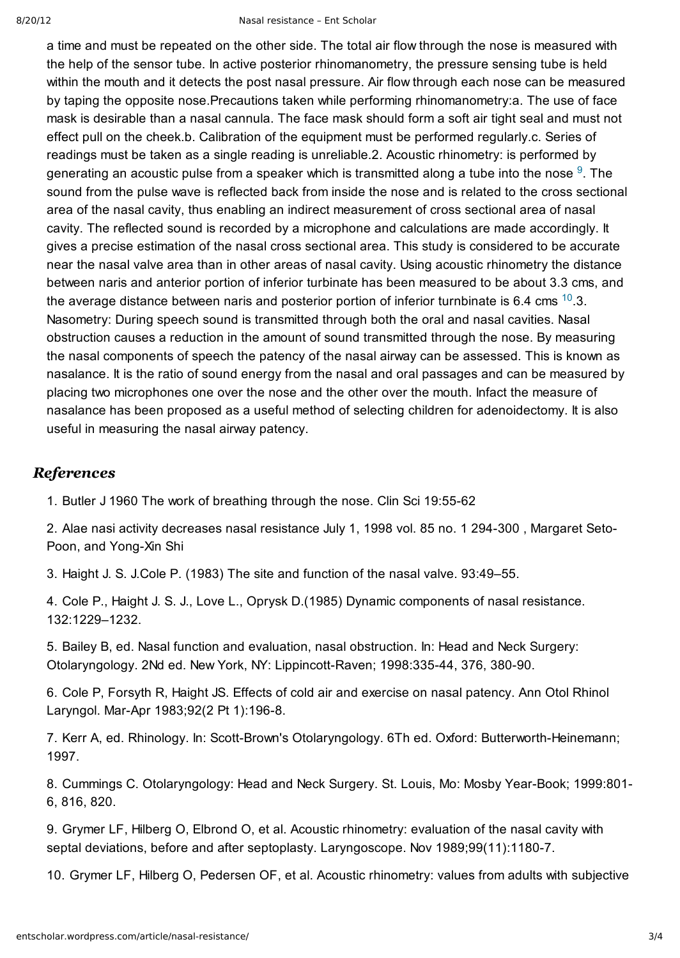a time and must be repeated on the other side. The total air flow through the nose is measured with the help of the sensor tube. In active posterior rhinomanometry, the pressure sensing tube is held within the mouth and it detects the post nasal pressure. Air flow through each nose can be measured by taping the opposite nose.Precautions taken while performing rhinomanometry:a. The use of face mask is desirable than a nasal cannula. The face mask should form a soft air tight seal and must not effect pull on the cheek.b. Calibration of the equipment must be performed regularly.c. Series of readings must be taken as a single reading is unreliable.2. Acoustic rhinometry: is performed by generating an acoustic pulse from a speaker which is transmitted along a tube into the nose  $9$ . The sound from the pulse wave is reflected back from inside the nose and is related to the cross sectional area of the nasal cavity, thus enabling an indirect measurement of cross sectional area of nasal cavity. The reflected sound is recorded by a microphone and calculations are made accordingly. It gives a precise estimation of the nasal cross sectional area. This study is considered to be accurate near the nasal valve area than in other areas of nasal cavity. Using acoustic rhinometry the distance between naris and anterior portion of inferior turbinate has been measured to be about 3.3 cms, and the average distance between naris and posterior portion of inferior turnbinate is 6.4 cms  $^{10}$  $^{10}$  $^{10}$ .3. Nasometry: During speech sound is transmitted through both the oral and nasal cavities. Nasal obstruction causes a reduction in the amount of sound transmitted through the nose. By measuring the nasal components of speech the patency of the nasal airway can be assessed. This is known as nasalance. It is the ratio of sound energy from the nasal and oral passages and can be measured by placing two microphones one over the nose and the other over the mouth. Infact the measure of nasalance has been proposed as a useful method of selecting children for adenoidectomy. It is also useful in measuring the nasal airway patency.

#### *References*

1. Butler J 1960 The work of breathing through the nose. Clin Sci 19:5562

2. Alae nasi activity decreases nasal resistance July 1, 1998 vol. 85 no. 1 294-300, Margaret Seto-Poon, and Yong-Xin Shi

3. Haight J. S. J.Cole P. (1983) The site and function of the nasal valve. 93:49–55.

4. Cole P., Haight J. S. J., Love L., Oprysk D.(1985) Dynamic components of nasal resistance. 132:1229–1232.

5. Bailey B, ed. Nasal function and evaluation, nasal obstruction. In: Head and Neck Surgery: Otolaryngology. 2Nd ed. New York, NY: Lippincott-Raven; 1998:335-44, 376, 380-90.

6. Cole P, Forsyth R, Haight JS. Effects of cold air and exercise on nasal patency. Ann Otol Rhinol Laryngol. Mar-Apr 1983;92(2 Pt 1):196-8.

7. Kerr A, ed. Rhinology. In: Scott-Brown's Otolaryngology. 6Th ed. Oxford: Butterworth-Heinemann; 1997.

8. Cummings C. Otolaryngology: Head and Neck Surgery. St. Louis, Mo: Mosby Year-Book; 1999:801-6, 816, 820.

9. Grymer LF, Hilberg O, Elbrond O, et al. Acoustic rhinometry: evaluation of the nasal cavity with septal deviations, before and after septoplasty. Laryngoscope. Nov 1989;99(11):1180-7.

10. Grymer LF, Hilberg O, Pedersen OF, et al. Acoustic rhinometry: values from adults with subjective